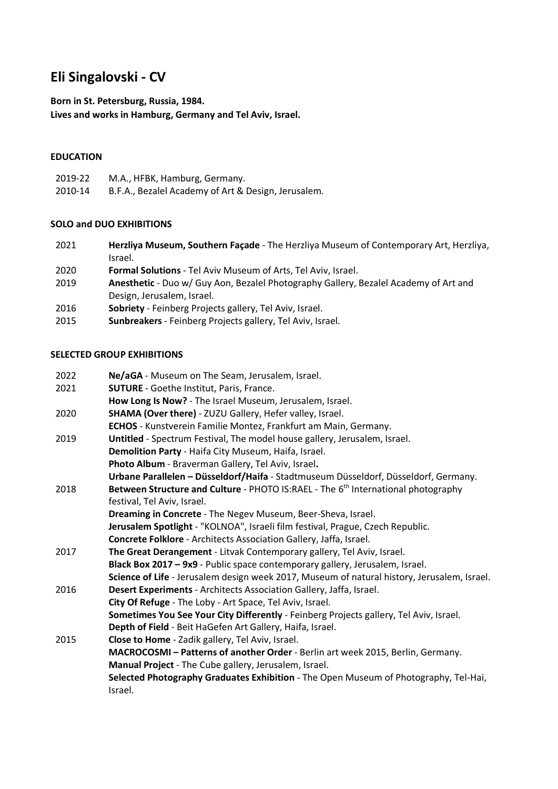# **Eli Singalovski - CV**

**Born in St. Petersburg, Russia, 1984.** 

**Lives and works in Hamburg, Germany and Tel Aviv, Israel.**

## **EDUCATION**

- 2019-22 M.A., HFBK, Hamburg, Germany.
- 2010-14 B.F.A., Bezalel Academy of Art & Design, Jerusalem.

#### **SOLO and DUO EXHIBITIONS**

- 2021 **Herzliya Museum, Southern Façade**  The Herzliya Museum of Contemporary Art, Herzliya, Israel.
- 2020 **Formal Solutions** - Tel Aviv Museum of Arts, Tel Aviv, Israel.
- 2019 **Anesthetic** - Duo w/ Guy Aon, Bezalel Photography Gallery, Bezalel Academy of Art and Design, Jerusalem, Israel.
- 2016 **Sobriety** Feinberg Projects gallery, Tel Aviv, Israel.
- 2015 **Sunbreakers** Feinberg Projects gallery, Tel Aviv, Israel.

# **SELECTED GROUP EXHIBITIONS**

| 2022 | Ne/aGA - Museum on The Seam, Jerusalem, Israel.                                               |
|------|-----------------------------------------------------------------------------------------------|
| 2021 | <b>SUTURE</b> - Goethe Institut, Paris, France.                                               |
|      | How Long Is Now? - The Israel Museum, Jerusalem, Israel.                                      |
| 2020 | <b>SHAMA (Over there)</b> - ZUZU Gallery, Hefer valley, Israel.                               |
|      | <b>ECHOS</b> - Kunstverein Familie Montez, Frankfurt am Main, Germany.                        |
| 2019 | Untitled - Spectrum Festival, The model house gallery, Jerusalem, Israel.                     |
|      | Demolition Party - Haifa City Museum, Haifa, Israel.                                          |
|      | Photo Album - Braverman Gallery, Tel Aviv, Israel.                                            |
|      | Urbane Parallelen - Düsseldorf/Haifa - Stadtmuseum Düsseldorf, Düsseldorf, Germany.           |
| 2018 | Between Structure and Culture - PHOTO IS:RAEL - The 6 <sup>th</sup> International photography |
|      | festival, Tel Aviv, Israel.                                                                   |
|      | Dreaming in Concrete - The Negev Museum, Beer-Sheva, Israel.                                  |
|      | Jerusalem Spotlight - "KOLNOA", Israeli film festival, Prague, Czech Republic.                |
|      | Concrete Folklore - Architects Association Gallery, Jaffa, Israel.                            |
| 2017 | The Great Derangement - Litvak Contemporary gallery, Tel Aviv, Israel.                        |
|      | Black Box 2017 - 9x9 - Public space contemporary gallery, Jerusalem, Israel.                  |
|      | Science of Life - Jerusalem design week 2017, Museum of natural history, Jerusalem, Israel.   |
| 2016 | Desert Experiments - Architects Association Gallery, Jaffa, Israel.                           |
|      | City Of Refuge - The Loby - Art Space, Tel Aviv, Israel.                                      |
|      | Sometimes You See Your City Differently - Feinberg Projects gallery, Tel Aviv, Israel.        |
|      | Depth of Field - Beit HaGefen Art Gallery, Haifa, Israel.                                     |
| 2015 | Close to Home - Zadik gallery, Tel Aviv, Israel.                                              |
|      | MACROCOSMI - Patterns of another Order - Berlin art week 2015, Berlin, Germany.               |
|      | Manual Project - The Cube gallery, Jerusalem, Israel.                                         |
|      | Selected Photography Graduates Exhibition - The Open Museum of Photography, Tel-Hai,          |
|      | Israel.                                                                                       |